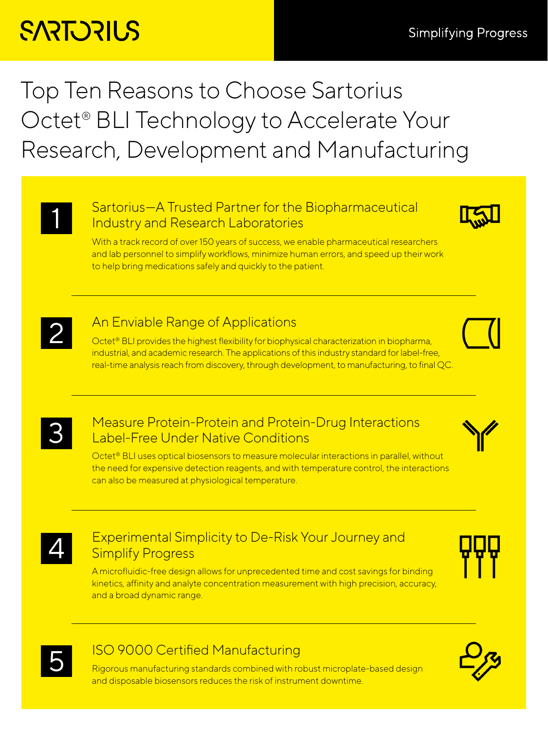# **SARTORILS**

### Top Ten Reasons to Choose Sartorius Octet<sup>®</sup> BLI Technology to Accelerate Your Research, Development and Manufacturing

#### Sartorius-A Trusted Partner for the Biopharmaceutical Industry and Research Laboratories



With a track record of over 150 years of success, we enable pharmaceutical researchers and lab personnel to simplify workflows, minimize human errors, and speed up their work to help bring medications safely and quickly to the patient.



## **2** An Enviable Range of Applications<br> **2** Octet® BLI provides the highest flexibility for biophys

Octet<sup>®</sup> BLI provides the highest flexibility for biophysical characterization in biopharma, industrial, and academic research. The applications of this industry standard for label-free, real-time analysis reach from discovery, through development, to manufacturing, to final QC.



### **3** Measure Protein-Protein and Protein-Drug Interactions<br> **3** Label-Free Under Native Conditions Label-Free Under Native Conditions



Octet® BLI uses optical biosensors to measure molecular interactions in parallel, without the need for expensive detection reagents, and with temperature control, the interactions can also be measured at physiological temperature.



### Experimental Simplicity to De-Risk Your Journey and Simplify Progress

A microfluidic-free design allows for unprecedented time and cost savings for binding kinetics, affinity and analyte concentration measurement with high precision, accuracy, and a broad dynamic range.





### 5 ISO 9000 Certified Manufacturing

Rigorous manufacturing standards combined with robust microplate-based design and disposable biosensors reduces the risk of instrument downtime.